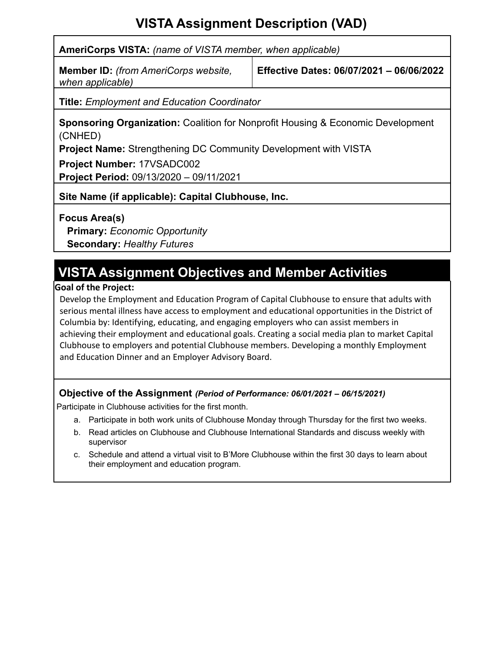# **VISTA Assignment Description (VAD)**

**AmeriCorps VISTA:** *(name of VISTA member, when applicable)*

**Member ID:** *(from AmeriCorps website, when applicable)*

**Effective Dates: 06/07/2021 – 06/06/2022**

**Title:** *Employment and Education Coordinator*

**Sponsoring Organization:** Coalition for Nonprofit Housing & Economic Development (CNHED)

**Project Name:** Strengthening DC Community Development with VISTA

**Project Number:** 17VSADC002

**Project Period:** 09/13/2020 – 09/11/2021

**Site Name (if applicable): Capital Clubhouse, Inc.**

**Focus Area(s)**

**Primary:** *Economic Opportunity* **Secondary:** *Healthy Futures*

# **VISTA Assignment Objectives and Member Activities**

## **Goal of the Project:**

Develop the Employment and Education Program of Capital Clubhouse to ensure that adults with serious mental illness have access to employment and educational opportunities in the District of Columbia by: Identifying, educating, and engaging employers who can assist members in achieving their employment and educational goals. Creating a social media plan to market Capital Clubhouse to employers and potential Clubhouse members. Developing a monthly Employment and Education Dinner and an Employer Advisory Board.

## **Objective of the Assignment** *(Period of Performance: 06/01/2021 – 06/15/2021)*

Participate in Clubhouse activities for the first month.

- a. Participate in both work units of Clubhouse Monday through Thursday for the first two weeks.
- b. Read articles on Clubhouse and Clubhouse International Standards and discuss weekly with supervisor
- c. Schedule and attend a virtual visit to B'More Clubhouse within the first 30 days to learn about their employment and education program.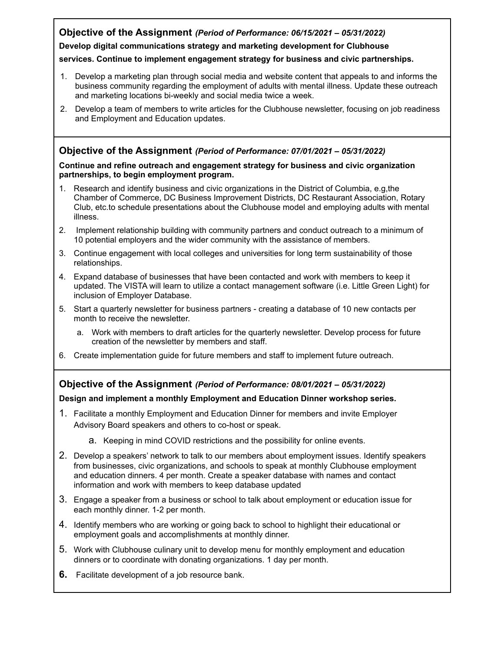## **Objective of the Assignment** *(Period of Performance: 06/15/2021 – 05/31/2022)*

#### **Develop digital communications strategy and marketing development for Clubhouse**

#### **services. Continue to implement engagement strategy for business and civic partnerships.**

- 1. Develop a marketing plan through social media and website content that appeals to and informs the business community regarding the employment of adults with mental illness. Update these outreach and marketing locations bi-weekly and social media twice a week.
- 2. Develop a team of members to write articles for the Clubhouse newsletter, focusing on job readiness and Employment and Education updates.

## **Objective of the Assignment** *(Period of Performance: 07/01/2021 – 05/31/2022)*

#### **Continue and refine outreach and engagement strategy for business and civic organization partnerships, to begin employment program.**

- 1. Research and identify business and civic organizations in the District of Columbia, e.g,the Chamber of Commerce, DC Business Improvement Districts, DC Restaurant Association, Rotary Club, etc.to schedule presentations about the Clubhouse model and employing adults with mental illness.
- 2. Implement relationship building with community partners and conduct outreach to a minimum of 10 potential employers and the wider community with the assistance of members.
- 3. Continue engagement with local colleges and universities for long term sustainability of those relationships.
- 4. Expand database of businesses that have been contacted and work with members to keep it updated. The VISTA will learn to utilize a contact management software (i.e. Little Green Light) for inclusion of Employer Database.
- 5. Start a quarterly newsletter for business partners creating a database of 10 new contacts per month to receive the newsletter.
	- a. Work with members to draft articles for the quarterly newsletter. Develop process for future creation of the newsletter by members and staff.
- 6. Create implementation guide for future members and staff to implement future outreach.

### **Objective of the Assignment** *(Period of Performance: 08/01/2021 – 05/31/2022)*

#### **Design and implement a monthly Employment and Education Dinner workshop series.**

- 1. Facilitate a monthly Employment and Education Dinner for members and invite Employer Advisory Board speakers and others to co-host or speak.
	- a. Keeping in mind COVID restrictions and the possibility for online events.
- 2. Develop a speakers' network to talk to our members about employment issues. Identify speakers from businesses, civic organizations, and schools to speak at monthly Clubhouse employment and education dinners. 4 per month. Create a speaker database with names and contact information and work with members to keep database updated
- 3. Engage a speaker from a business or school to talk about employment or education issue for each monthly dinner. 1-2 per month.
- 4. Identify members who are working or going back to school to highlight their educational or employment goals and accomplishments at monthly dinner.
- 5. Work with Clubhouse culinary unit to develop menu for monthly employment and education dinners or to coordinate with donating organizations. 1 day per month.
- **6.** Facilitate development of a job resource bank.